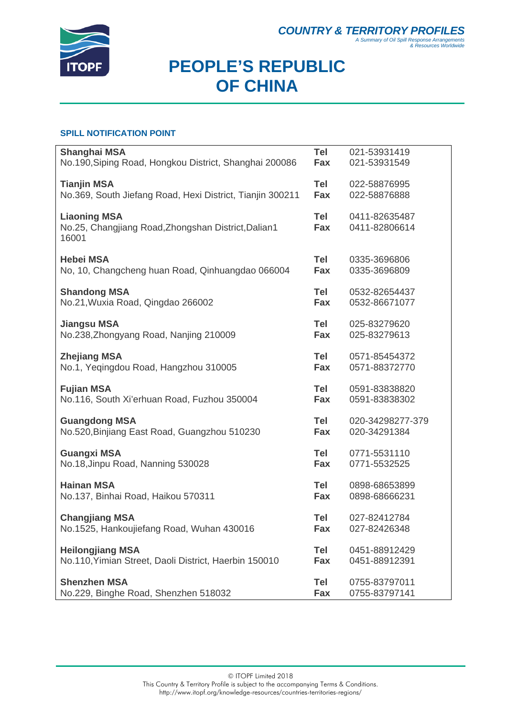

# **PEOPLE'S REPUBLIC OF CHINA**

### **SPILL NOTIFICATION POINT**

| <b>Shanghai MSA</b>                                       | Tel        | 021-53931419     |
|-----------------------------------------------------------|------------|------------------|
| No.190, Siping Road, Hongkou District, Shanghai 200086    | Fax        | 021-53931549     |
|                                                           |            |                  |
| <b>Tianjin MSA</b>                                        | Tel        | 022-58876995     |
| No.369, South Jiefang Road, Hexi District, Tianjin 300211 | Fax        | 022-58876888     |
|                                                           |            |                  |
| <b>Liaoning MSA</b>                                       | Tel        | 0411-82635487    |
| No.25, Changjiang Road, Zhongshan District, Dalian 1      | Fax        | 0411-82806614    |
| 16001                                                     |            |                  |
|                                                           |            |                  |
| <b>Hebei MSA</b>                                          | Tel        | 0335-3696806     |
| No, 10, Changcheng huan Road, Qinhuangdao 066004          | Fax        | 0335-3696809     |
|                                                           |            |                  |
| <b>Shandong MSA</b>                                       | Tel        | 0532-82654437    |
| No.21, Wuxia Road, Qingdao 266002                         | Fax        | 0532-86671077    |
|                                                           |            |                  |
| <b>Jiangsu MSA</b>                                        | <b>Tel</b> | 025-83279620     |
| No.238, Zhongyang Road, Nanjing 210009                    | Fax        | 025-83279613     |
|                                                           |            |                  |
| <b>Zhejiang MSA</b>                                       | Tel        | 0571-85454372    |
| No.1, Yeqingdou Road, Hangzhou 310005                     | Fax        | 0571-88372770    |
|                                                           |            |                  |
| <b>Fujian MSA</b>                                         | <b>Tel</b> | 0591-83838820    |
| No.116, South Xi'erhuan Road, Fuzhou 350004               | Fax        | 0591-83838302    |
|                                                           |            |                  |
| <b>Guangdong MSA</b>                                      | <b>Tel</b> | 020-34298277-379 |
| No.520, Binjiang East Road, Guangzhou 510230              | Fax        | 020-34291384     |
|                                                           |            |                  |
| <b>Guangxi MSA</b>                                        | <b>Tel</b> | 0771-5531110     |
| No.18, Jinpu Road, Nanning 530028                         | Fax        | 0771-5532525     |
|                                                           |            |                  |
| <b>Hainan MSA</b>                                         | <b>Tel</b> | 0898-68653899    |
| No.137, Binhai Road, Haikou 570311                        | Fax        | 0898-68666231    |
|                                                           |            |                  |
| <b>Changjiang MSA</b>                                     | Tel        | 027-82412784     |
| No.1525, Hankoujiefang Road, Wuhan 430016                 | Fax        | 027-82426348     |
|                                                           |            |                  |
| <b>Heilongjiang MSA</b>                                   | Tel        | 0451-88912429    |
| No.110, Yimian Street, Daoli District, Haerbin 150010     | Fax        | 0451-88912391    |
| <b>Shenzhen MSA</b>                                       | Tel        | 0755-83797011    |
| No.229, Binghe Road, Shenzhen 518032                      | Fax        | 0755-83797141    |
|                                                           |            |                  |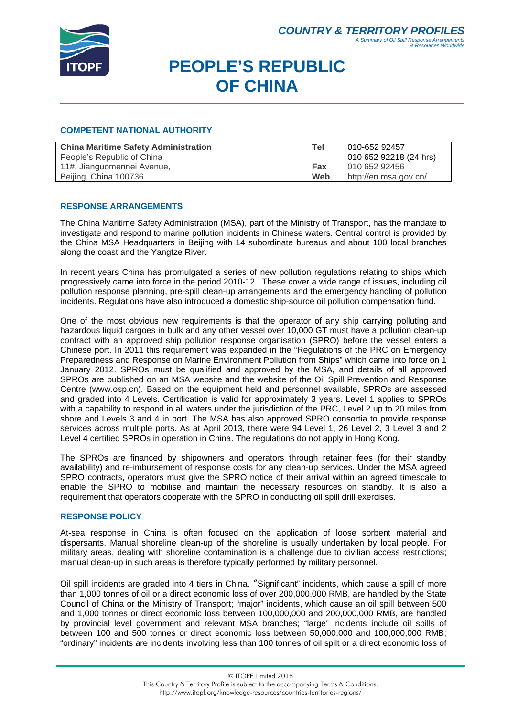

# **PEOPLE'S REPUBLIC OF CHINA**

### **COMPETENT NATIONAL AUTHORITY**

| <b>China Maritime Safety Administration</b> | Tel | 010-652 92457          |
|---------------------------------------------|-----|------------------------|
| People's Republic of China                  |     | 010 652 92218 (24 hrs) |
| 11#, Jianguomennei Avenue,                  | Fax | 010 652 92456          |
| Beijing, China 100736                       | Web | http://en.msa.gov.cn/  |

### **RESPONSE ARRANGEMENTS**

The China Maritime Safety Administration (MSA), part of the Ministry of Transport, has the mandate to investigate and respond to marine pollution incidents in Chinese waters. Central control is provided by the China MSA Headquarters in Beijing with 14 subordinate bureaus and about 100 local branches along the coast and the Yangtze River.

In recent years China has promulgated a series of new pollution regulations relating to ships which progressively came into force in the period 2010-12. These cover a wide range of issues, including oil pollution response planning, pre-spill clean-up arrangements and the emergency handling of pollution incidents. Regulations have also introduced a domestic ship-source oil pollution compensation fund.

One of the most obvious new requirements is that the operator of any ship carrying polluting and hazardous liquid cargoes in bulk and any other vessel over 10,000 GT must have a pollution clean-up contract with an approved ship pollution response organisation (SPRO) before the vessel enters a Chinese port. In 2011 this requirement was expanded in the "Regulations of the PRC on Emergency Preparedness and Response on Marine Environment Pollution from Ships" which came into force on 1 January 2012. SPROs must be qualified and approved by the MSA, and details of all approved SPROs are published on an MSA website and the website of the Oil Spill Prevention and Response Centre (www.osp.cn). Based on the equipment held and personnel available, SPROs are assessed and graded into 4 Levels. Certification is valid for approximately 3 years. Level 1 applies to SPROs with a capability to respond in all waters under the jurisdiction of the PRC, Level 2 up to 20 miles from shore and Levels 3 and 4 in port. The MSA has also approved SPRO consortia to provide response services across multiple ports. As at April 2013, there were 94 Level 1, 26 Level 2, 3 Level 3 and 2 Level 4 certified SPROs in operation in China. The regulations do not apply in Hong Kong.

The SPROs are financed by shipowners and operators through retainer fees (for their standby availability) and re-imbursement of response costs for any clean-up services. Under the MSA agreed SPRO contracts, operators must give the SPRO notice of their arrival within an agreed timescale to enable the SPRO to mobilise and maintain the necessary resources on standby. It is also a requirement that operators cooperate with the SPRO in conducting oil spill drill exercises.

#### **RESPONSE POLICY**

At-sea response in China is often focused on the application of loose sorbent material and dispersants. Manual shoreline clean-up of the shoreline is usually undertaken by local people. For military areas, dealing with shoreline contamination is a challenge due to civilian access restrictions; manual clean-up in such areas is therefore typically performed by military personnel.

Oil spill incidents are graded into 4 tiers in China. "Significant" incidents, which cause a spill of more than 1,000 tonnes of oil or a direct economic loss of over 200,000,000 RMB, are handled by the State Council of China or the Ministry of Transport; "major" incidents, which cause an oil spill between 500 and 1,000 tonnes or direct economic loss between 100,000,000 and 200,000,000 RMB, are handled by provincial level government and relevant MSA branches; "large" incidents include oil spills of between 100 and 500 tonnes or direct economic loss between 50,000,000 and 100,000,000 RMB; "ordinary" incidents are incidents involving less than 100 tonnes of oil spilt or a direct economic loss of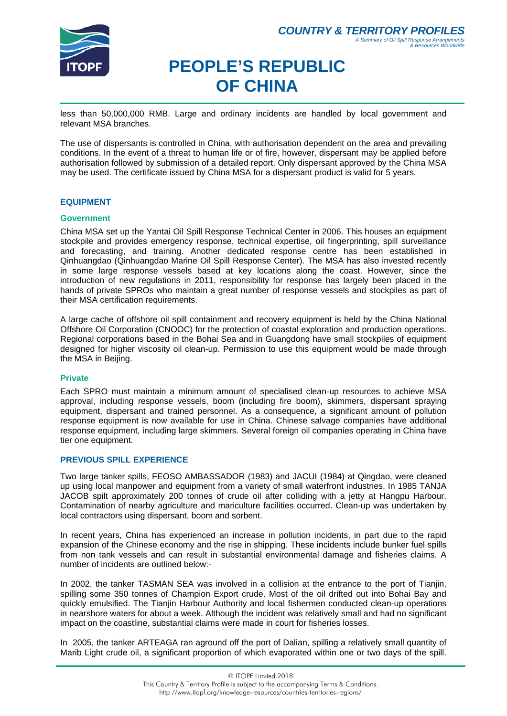

#### **COUNTRY & TERRITORY PROFIL** *A Summary of Oil Spill Response Arrangements & Resources Worldwide*

# **PEOPLE'S REPUBLIC OF CHINA**

less than 50,000,000 RMB. Large and ordinary incidents are handled by local government and relevant MSA branches.

The use of dispersants is controlled in China, with authorisation dependent on the area and prevailing conditions. In the event of a threat to human life or of fire, however, dispersant may be applied before authorisation followed by submission of a detailed report. Only dispersant approved by the China MSA may be used. The certificate issued by China MSA for a dispersant product is valid for 5 years.

### **EQUIPMENT**

### **Government**

China MSA set up the Yantai Oil Spill Response Technical Center in 2006. This houses an equipment stockpile and provides emergency response, technical expertise, oil fingerprinting, spill surveillance and forecasting, and training. Another dedicated response centre has been established in Qinhuangdao (Qinhuangdao Marine Oil Spill Response Center). The MSA has also invested recently in some large response vessels based at key locations along the coast. However, since the introduction of new regulations in 2011, responsibility for response has largely been placed in the hands of private SPROs who maintain a great number of response vessels and stockpiles as part of their MSA certification requirements.

A large cache of offshore oil spill containment and recovery equipment is held by the China National Offshore Oil Corporation (CNOOC) for the protection of coastal exploration and production operations. Regional corporations based in the Bohai Sea and in Guangdong have small stockpiles of equipment designed for higher viscosity oil clean-up. Permission to use this equipment would be made through the MSA in Beijing.

#### **Private**

Each SPRO must maintain a minimum amount of specialised clean-up resources to achieve MSA approval, including response vessels, boom (including fire boom), skimmers, dispersant spraying equipment, dispersant and trained personnel. As a consequence, a significant amount of pollution response equipment is now available for use in China. Chinese salvage companies have additional response equipment, including large skimmers. Several foreign oil companies operating in China have tier one equipment.

### **PREVIOUS SPILL EXPERIENCE**

Two large tanker spills, FEOSO AMBASSADOR (1983) and JACUI (1984) at Qingdao, were cleaned up using local manpower and equipment from a variety of small waterfront industries. In 1985 TANJA JACOB spilt approximately 200 tonnes of crude oil after colliding with a jetty at Hangpu Harbour. Contamination of nearby agriculture and mariculture facilities occurred. Clean-up was undertaken by local contractors using dispersant, boom and sorbent.

In recent years, China has experienced an increase in pollution incidents, in part due to the rapid expansion of the Chinese economy and the rise in shipping. These incidents include bunker fuel spills from non tank vessels and can result in substantial environmental damage and fisheries claims. A number of incidents are outlined below:-

In 2002, the tanker TASMAN SEA was involved in a collision at the entrance to the port of Tianjin, spilling some 350 tonnes of Champion Export crude. Most of the oil drifted out into Bohai Bay and quickly emulsified. The Tianjin Harbour Authority and local fishermen conducted clean-up operations in nearshore waters for about a week. Although the incident was relatively small and had no significant impact on the coastline, substantial claims were made in court for fisheries losses.

In 2005, the tanker ARTEAGA ran aground off the port of Dalian, spilling a relatively small quantity of Marib Light crude oil, a significant proportion of which evaporated within one or two days of the spill.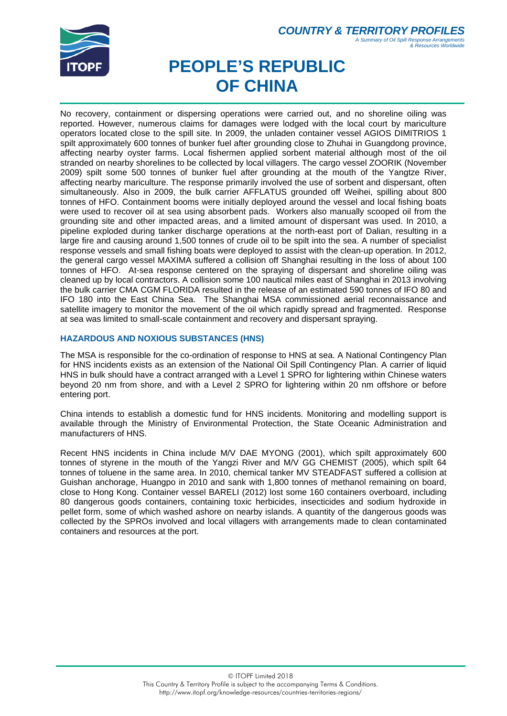

#### **COUNTRY & TERRITORY PROFIL** *A Summary of Oil Spill Response Arrangements & Resources Worldwide*

# **PEOPLE'S REPUBLIC OF CHINA**

No recovery, containment or dispersing operations were carried out, and no shoreline oiling was reported. However, numerous claims for damages were lodged with the local court by mariculture operators located close to the spill site. In 2009, the unladen container vessel AGIOS DIMITRIOS 1 spilt approximately 600 tonnes of bunker fuel after grounding close to Zhuhai in Guangdong province, affecting nearby oyster farms. Local fishermen applied sorbent material although most of the oil stranded on nearby shorelines to be collected by local villagers. The cargo vessel ZOORIK (November 2009) spilt some 500 tonnes of bunker fuel after grounding at the mouth of the Yangtze River, affecting nearby mariculture. The response primarily involved the use of sorbent and dispersant, often simultaneously. Also in 2009, the bulk carrier AFFLATUS grounded off Weihei, spilling about 800 tonnes of HFO. Containment booms were initially deployed around the vessel and local fishing boats were used to recover oil at sea using absorbent pads. Workers also manually scooped oil from the grounding site and other impacted areas, and a limited amount of dispersant was used. In 2010, a pipeline exploded during tanker discharge operations at the north-east port of Dalian, resulting in a large fire and causing around 1,500 tonnes of crude oil to be spilt into the sea. A number of specialist response vessels and small fishing boats were deployed to assist with the clean-up operation. In 2012, the general cargo vessel MAXIMA suffered a collision off Shanghai resulting in the loss of about 100 tonnes of HFO. At-sea response centered on the spraying of dispersant and shoreline oiling was cleaned up by local contractors. A collision some 100 nautical miles east of Shanghai in 2013 involving the bulk carrier CMA CGM FLORIDA resulted in the release of an estimated 590 tonnes of IFO 80 and IFO 180 into the East China Sea. The Shanghai MSA commissioned aerial reconnaissance and satellite imagery to monitor the movement of the oil which rapidly spread and fragmented. Response at sea was limited to small-scale containment and recovery and dispersant spraying.

### **HAZARDOUS AND NOXIOUS SUBSTANCES (HNS)**

The MSA is responsible for the co-ordination of response to HNS at sea. A National Contingency Plan for HNS incidents exists as an extension of the National Oil Spill Contingency Plan. A carrier of liquid HNS in bulk should have a contract arranged with a Level 1 SPRO for lightering within Chinese waters beyond 20 nm from shore, and with a Level 2 SPRO for lightering within 20 nm offshore or before entering port.

China intends to establish a domestic fund for HNS incidents. Monitoring and modelling support is available through the Ministry of Environmental Protection, the State Oceanic Administration and manufacturers of HNS.

Recent HNS incidents in China include M/V DAE MYONG (2001), which spilt approximately 600 tonnes of styrene in the mouth of the Yangzi River and M/V GG CHEMIST (2005), which spilt 64 tonnes of toluene in the same area. In 2010, chemical tanker MV STEADFAST suffered a collision at Guishan anchorage, Huangpo in 2010 and sank with 1,800 tonnes of methanol remaining on board, close to Hong Kong. Container vessel BARELI (2012) lost some 160 containers overboard, including 80 dangerous goods containers, containing toxic herbicides, insecticides and sodium hydroxide in pellet form, some of which washed ashore on nearby islands. A quantity of the dangerous goods was collected by the SPROs involved and local villagers with arrangements made to clean contaminated containers and resources at the port.